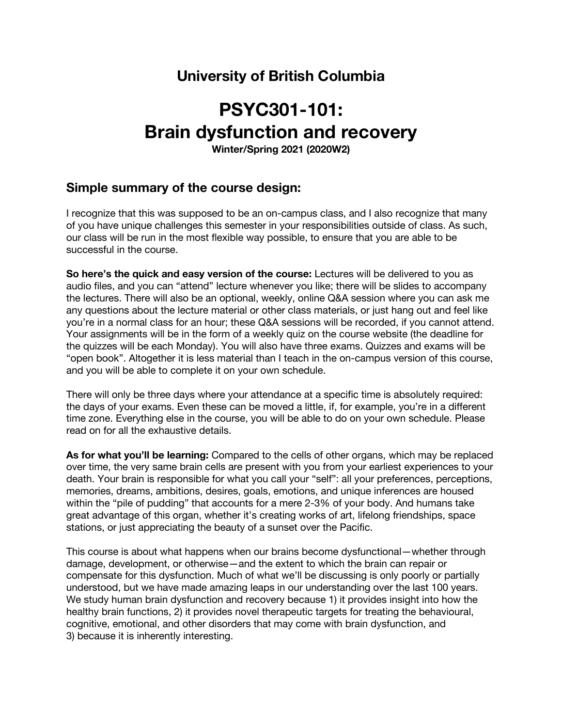## **University of British Columbia**

# **PSYC301-101: Brain dysfunction and recovery**

**Winter/Spring 2021 (2020W2)**

## **Simple summary of the course design:**

I recognize that this was supposed to be an on-campus class, and I also recognize that many of you have unique challenges this semester in your responsibilities outside of class. As such, our class will be run in the most flexible way possible, to ensure that you are able to be successful in the course.

**So here's the quick and easy version of the course:** Lectures will be delivered to you as audio files, and you can "attend" lecture whenever you like; there will be slides to accompany the lectures. There will also be an optional, weekly, online Q&A session where you can ask me any questions about the lecture material or other class materials, or just hang out and feel like you're in a normal class for an hour; these Q&A sessions will be recorded, if you cannot attend. Your assignments will be in the form of a weekly quiz on the course website (the deadline for the quizzes will be each Monday). You will also have three exams. Quizzes and exams will be "open book". Altogether it is less material than I teach in the on-campus version of this course, and you will be able to complete it on your own schedule.

There will only be three days where your attendance at a specific time is absolutely required: the days of your exams. Even these can be moved a little, if, for example, you're in a different time zone. Everything else in the course, you will be able to do on your own schedule. Please read on for all the exhaustive details.

**As for what you'll be learning:** Compared to the cells of other organs, which may be replaced over time, the very same brain cells are present with you from your earliest experiences to your death. Your brain is responsible for what you call your "self": all your preferences, perceptions, memories, dreams, ambitions, desires, goals, emotions, and unique inferences are housed within the "pile of pudding" that accounts for a mere 2-3% of your body. And humans take great advantage of this organ, whether it's creating works of art, lifelong friendships, space stations, or just appreciating the beauty of a sunset over the Pacific.

This course is about what happens when our brains become dysfunctional—whether through damage, development, or otherwise—and the extent to which the brain can repair or compensate for this dysfunction. Much of what we'll be discussing is only poorly or partially understood, but we have made amazing leaps in our understanding over the last 100 years. We study human brain dysfunction and recovery because 1) it provides insight into how the healthy brain functions, 2) it provides novel therapeutic targets for treating the behavioural, cognitive, emotional, and other disorders that may come with brain dysfunction, and 3) because it is inherently interesting.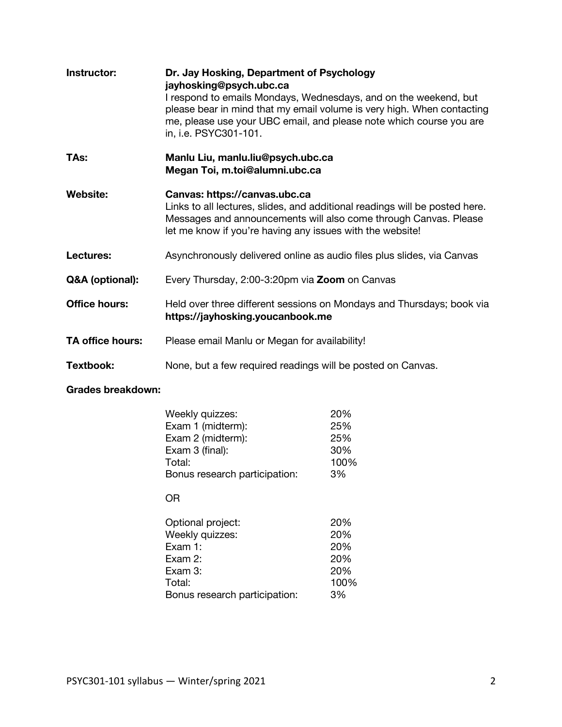| Instructor:          | Dr. Jay Hosking, Department of Psychology<br>jayhosking@psych.ubc.ca<br>I respond to emails Mondays, Wednesdays, and on the weekend, but<br>please bear in mind that my email volume is very high. When contacting<br>me, please use your UBC email, and please note which course you are<br>in, i.e. PSYC301-101. |  |
|----------------------|--------------------------------------------------------------------------------------------------------------------------------------------------------------------------------------------------------------------------------------------------------------------------------------------------------------------|--|
| TAs:                 | Manlu Liu, manlu.liu@psych.ubc.ca<br>Megan Toi, m.toi@alumni.ubc.ca                                                                                                                                                                                                                                                |  |
| <b>Website:</b>      | Canvas: https://canvas.ubc.ca<br>Links to all lectures, slides, and additional readings will be posted here.<br>Messages and announcements will also come through Canvas. Please<br>let me know if you're having any issues with the website!                                                                      |  |
| Lectures:            | Asynchronously delivered online as audio files plus slides, via Canvas                                                                                                                                                                                                                                             |  |
| Q&A (optional):      | Every Thursday, 2:00-3:20pm via Zoom on Canvas                                                                                                                                                                                                                                                                     |  |
| <b>Office hours:</b> | Held over three different sessions on Mondays and Thursdays; book via<br>https://jayhosking.youcanbook.me                                                                                                                                                                                                          |  |
| TA office hours:     | Please email Manlu or Megan for availability!                                                                                                                                                                                                                                                                      |  |
| Textbook:            | None, but a few required readings will be posted on Canvas.                                                                                                                                                                                                                                                        |  |

## **Grades breakdown:**

| Weekly quizzes:               | 20%  |
|-------------------------------|------|
| Exam 1 (midterm):             | 25%  |
| Exam 2 (midterm):             | 25%  |
| Exam 3 (final):               | 30%  |
| Total:                        | 100% |
| Bonus research participation: | 3%   |
|                               |      |

OR

| Optional project:             | 20%  |
|-------------------------------|------|
| Weekly quizzes:               | 20%  |
| Exam 1:                       | 20%  |
| Exam 2:                       | 20%  |
| Exam 3:                       | 20%  |
| Total:                        | 100% |
| Bonus research participation: | 3%   |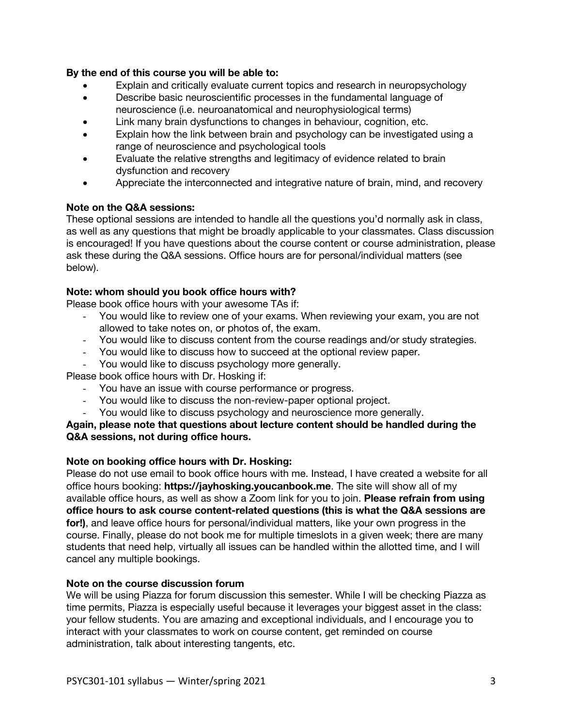## **By the end of this course you will be able to:**

- Explain and critically evaluate current topics and research in neuropsychology
- Describe basic neuroscientific processes in the fundamental language of neuroscience (i.e. neuroanatomical and neurophysiological terms)
- Link many brain dysfunctions to changes in behaviour, cognition, etc.
- Explain how the link between brain and psychology can be investigated using a range of neuroscience and psychological tools
- Evaluate the relative strengths and legitimacy of evidence related to brain dysfunction and recovery
- Appreciate the interconnected and integrative nature of brain, mind, and recovery

## **Note on the Q&A sessions:**

These optional sessions are intended to handle all the questions you'd normally ask in class, as well as any questions that might be broadly applicable to your classmates. Class discussion is encouraged! If you have questions about the course content or course administration, please ask these during the Q&A sessions. Office hours are for personal/individual matters (see below).

## **Note: whom should you book office hours with?**

Please book office hours with your awesome TAs if:

- You would like to review one of your exams. When reviewing your exam, you are not allowed to take notes on, or photos of, the exam.
- You would like to discuss content from the course readings and/or study strategies.
- You would like to discuss how to succeed at the optional review paper.
- You would like to discuss psychology more generally.

Please book office hours with Dr. Hosking if:

- You have an issue with course performance or progress.
- You would like to discuss the non-review-paper optional project.
- You would like to discuss psychology and neuroscience more generally.

**Again, please note that questions about lecture content should be handled during the Q&A sessions, not during office hours.**

## **Note on booking office hours with Dr. Hosking:**

Please do not use email to book office hours with me. Instead, I have created a website for all office hours booking: **https://jayhosking.youcanbook.me**. The site will show all of my available office hours, as well as show a Zoom link for you to join. **Please refrain from using office hours to ask course content-related questions (this is what the Q&A sessions are for!)**, and leave office hours for personal/individual matters, like your own progress in the course. Finally, please do not book me for multiple timeslots in a given week; there are many students that need help, virtually all issues can be handled within the allotted time, and I will cancel any multiple bookings.

### **Note on the course discussion forum**

We will be using Piazza for forum discussion this semester. While I will be checking Piazza as time permits, Piazza is especially useful because it leverages your biggest asset in the class: your fellow students. You are amazing and exceptional individuals, and I encourage you to interact with your classmates to work on course content, get reminded on course administration, talk about interesting tangents, etc.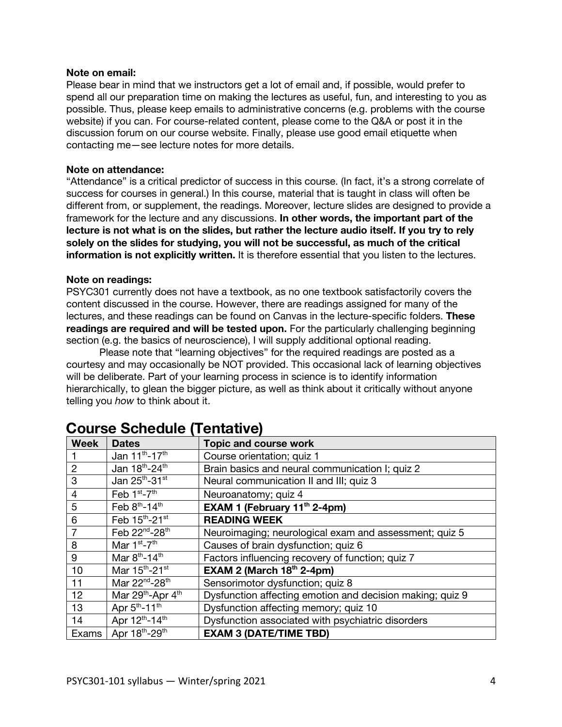### **Note on email:**

Please bear in mind that we instructors get a lot of email and, if possible, would prefer to spend all our preparation time on making the lectures as useful, fun, and interesting to you as possible. Thus, please keep emails to administrative concerns (e.g. problems with the course website) if you can. For course-related content, please come to the Q&A or post it in the discussion forum on our course website. Finally, please use good email etiquette when contacting me—see lecture notes for more details.

## **Note on attendance:**

"Attendance" is a critical predictor of success in this course. (In fact, it's a strong correlate of success for courses in general.) In this course, material that is taught in class will often be different from, or supplement, the readings. Moreover, lecture slides are designed to provide a framework for the lecture and any discussions. **In other words, the important part of the lecture is not what is on the slides, but rather the lecture audio itself. If you try to rely solely on the slides for studying, you will not be successful, as much of the critical information is not explicitly written.** It is therefore essential that you listen to the lectures.

## **Note on readings:**

PSYC301 currently does not have a textbook, as no one textbook satisfactorily covers the content discussed in the course. However, there are readings assigned for many of the lectures, and these readings can be found on Canvas in the lecture-specific folders. **These readings are required and will be tested upon.** For the particularly challenging beginning section (e.g. the basics of neuroscience), I will supply additional optional reading.

Please note that "learning objectives" for the required readings are posted as a courtesy and may occasionally be NOT provided. This occasional lack of learning objectives will be deliberate. Part of your learning process in science is to identify information hierarchically, to glean the bigger picture, as well as think about it critically without anyone telling you *how* to think about it.

| <b>Week</b>    | <b>Dates</b>                              | <b>Topic and course work</b>                              |  |
|----------------|-------------------------------------------|-----------------------------------------------------------|--|
|                | Jan 11 <sup>th</sup> -17 <sup>th</sup>    | Course orientation; quiz 1                                |  |
| $\overline{2}$ | Jan 18th-24th                             | Brain basics and neural communication I; quiz 2           |  |
| 3              | Jan 25th-31st                             | Neural communication II and III; quiz 3                   |  |
| $\overline{4}$ | Feb $1st - 7th$                           | Neuroanatomy; quiz 4                                      |  |
| 5              | Feb 8th-14th                              | EXAM 1 (February 11 <sup>th</sup> 2-4pm)                  |  |
| $6\phantom{1}$ | Feb 15th-21st                             | <b>READING WEEK</b>                                       |  |
| $\overline{7}$ | Feb 22 <sup>nd</sup> -28 <sup>th</sup>    | Neuroimaging; neurological exam and assessment; quiz 5    |  |
| 8              | Mar $1st - 7th$                           | Causes of brain dysfunction; quiz 6                       |  |
| 9              | Mar $8^{th}$ -14 <sup>th</sup>            | Factors influencing recovery of function; quiz 7          |  |
| 10             | Mar 15 <sup>th</sup> -21 <sup>st</sup>    | EXAM 2 (March $18th$ 2-4pm)                               |  |
| 11             | Mar 22 <sup>nd</sup> -28 <sup>th</sup>    | Sensorimotor dysfunction; quiz 8                          |  |
| 12             | Mar 29 <sup>th</sup> -Apr 4 <sup>th</sup> | Dysfunction affecting emotion and decision making; quiz 9 |  |
| 13             | Apr 5 <sup>th</sup> -11 <sup>th</sup>     | Dysfunction affecting memory; quiz 10                     |  |
| 14             | Apr 12th-14th                             | Dysfunction associated with psychiatric disorders         |  |
| Exams          | Apr 18th-29th                             | <b>EXAM 3 (DATE/TIME TBD)</b>                             |  |

## **Course Schedule (Tentative)**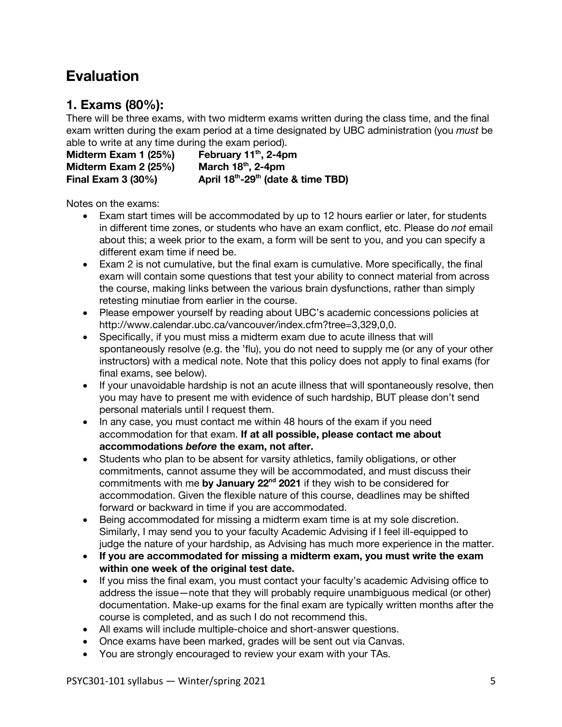## **Evaluation**

## **1. Exams (80%):**

There will be three exams, with two midterm exams written during the class time, and the final exam written during the exam period at a time designated by UBC administration (you *must* be able to write at any time during the exam period).

**Midterm Exam 1 (25%) February 11th, 2-4pm Midterm Exam 2 (25%)** March 18<sup>th</sup>, 2-4pm **Final Exam 3 (30%) April 18th-29th (date & time TBD)**

Notes on the exams:

- Exam start times will be accommodated by up to 12 hours earlier or later, for students in different time zones, or students who have an exam conflict, etc. Please do *not* email about this; a week prior to the exam, a form will be sent to you, and you can specify a different exam time if need be.
- Exam 2 is not cumulative, but the final exam is cumulative. More specifically, the final exam will contain some questions that test your ability to connect material from across the course, making links between the various brain dysfunctions, rather than simply retesting minutiae from earlier in the course.
- Please empower yourself by reading about UBC's academic concessions policies at http://www.calendar.ubc.ca/vancouver/index.cfm?tree=3,329,0,0.
- Specifically, if you must miss a midterm exam due to acute illness that will spontaneously resolve (e.g. the 'flu), you do not need to supply me (or any of your other instructors) with a medical note. Note that this policy does not apply to final exams (for final exams, see below).
- If your unavoidable hardship is not an acute illness that will spontaneously resolve, then you may have to present me with evidence of such hardship, BUT please don't send personal materials until I request them.
- In any case, you must contact me within 48 hours of the exam if you need accommodation for that exam. **If at all possible, please contact me about accommodations** *before* **the exam, not after.**
- Students who plan to be absent for varsity athletics, family obligations, or other commitments, cannot assume they will be accommodated, and must discuss their commitments with me **by January 22nd 2021** if they wish to be considered for accommodation. Given the flexible nature of this course, deadlines may be shifted forward or backward in time if you are accommodated.
- Being accommodated for missing a midterm exam time is at my sole discretion. Similarly, I may send you to your faculty Academic Advising if I feel ill-equipped to judge the nature of your hardship, as Advising has much more experience in the matter.
- **If you are accommodated for missing a midterm exam, you must write the exam within one week of the original test date.**
- If you miss the final exam, you must contact your faculty's academic Advising office to address the issue—note that they will probably require unambiguous medical (or other) documentation. Make-up exams for the final exam are typically written months after the course is completed, and as such I do not recommend this.
- All exams will include multiple-choice and short-answer questions.
- Once exams have been marked, grades will be sent out via Canvas.
- You are strongly encouraged to review your exam with your TAs.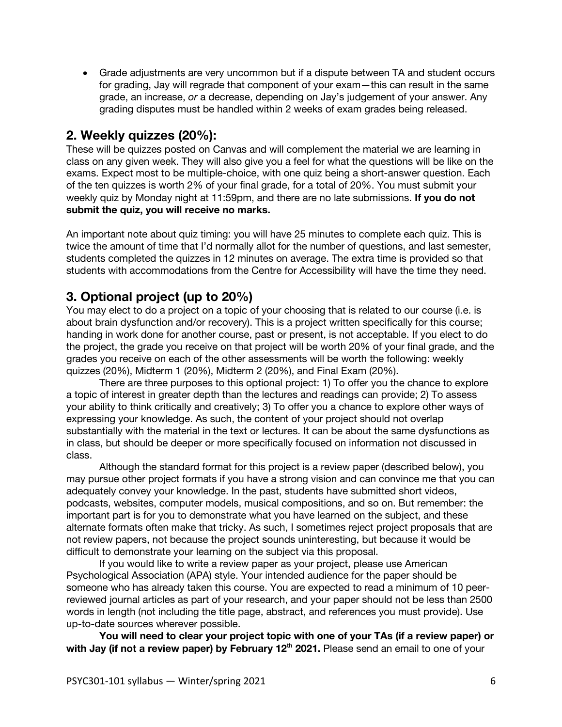• Grade adjustments are very uncommon but if a dispute between TA and student occurs for grading, Jay will regrade that component of your exam—this can result in the same grade, an increase, *or* a decrease, depending on Jay's judgement of your answer. Any grading disputes must be handled within 2 weeks of exam grades being released.

## **2. Weekly quizzes (20%):**

These will be quizzes posted on Canvas and will complement the material we are learning in class on any given week. They will also give you a feel for what the questions will be like on the exams. Expect most to be multiple-choice, with one quiz being a short-answer question. Each of the ten quizzes is worth 2% of your final grade, for a total of 20%. You must submit your weekly quiz by Monday night at 11:59pm, and there are no late submissions. **If you do not submit the quiz, you will receive no marks.**

An important note about quiz timing: you will have 25 minutes to complete each quiz. This is twice the amount of time that I'd normally allot for the number of questions, and last semester, students completed the quizzes in 12 minutes on average. The extra time is provided so that students with accommodations from the Centre for Accessibility will have the time they need.

## **3. Optional project (up to 20%)**

You may elect to do a project on a topic of your choosing that is related to our course (i.e. is about brain dysfunction and/or recovery). This is a project written specifically for this course; handing in work done for another course, past or present, is not acceptable. If you elect to do the project, the grade you receive on that project will be worth 20% of your final grade, and the grades you receive on each of the other assessments will be worth the following: weekly quizzes (20%), Midterm 1 (20%), Midterm 2 (20%), and Final Exam (20%).

There are three purposes to this optional project: 1) To offer you the chance to explore a topic of interest in greater depth than the lectures and readings can provide; 2) To assess your ability to think critically and creatively; 3) To offer you a chance to explore other ways of expressing your knowledge. As such, the content of your project should not overlap substantially with the material in the text or lectures. It can be about the same dysfunctions as in class, but should be deeper or more specifically focused on information not discussed in class.

Although the standard format for this project is a review paper (described below), you may pursue other project formats if you have a strong vision and can convince me that you can adequately convey your knowledge. In the past, students have submitted short videos, podcasts, websites, computer models, musical compositions, and so on. But remember: the important part is for you to demonstrate what you have learned on the subject, and these alternate formats often make that tricky. As such, I sometimes reject project proposals that are not review papers, not because the project sounds uninteresting, but because it would be difficult to demonstrate your learning on the subject via this proposal.

If you would like to write a review paper as your project, please use American Psychological Association (APA) style. Your intended audience for the paper should be someone who has already taken this course. You are expected to read a minimum of 10 peerreviewed journal articles as part of your research, and your paper should not be less than 2500 words in length (not including the title page, abstract, and references you must provide). Use up-to-date sources wherever possible.

**You will need to clear your project topic with one of your TAs (if a review paper) or**  with Jay (if not a review paper) by February 12<sup>th</sup> 2021. Please send an email to one of your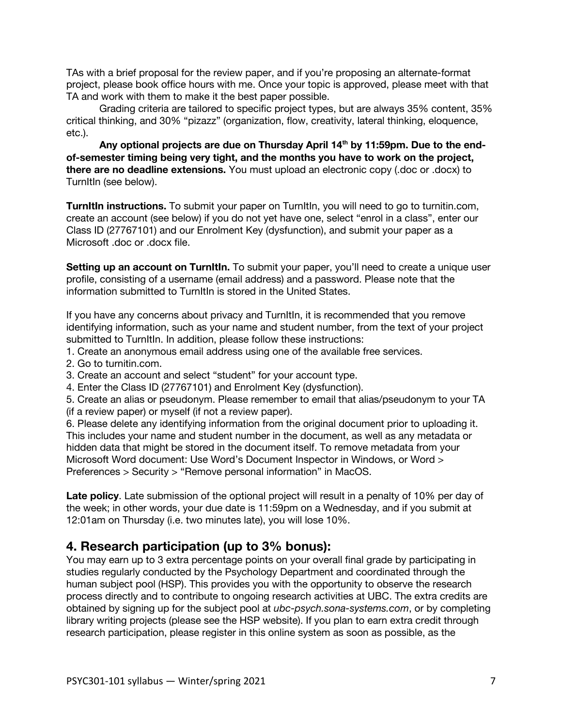TAs with a brief proposal for the review paper, and if you're proposing an alternate-format project, please book office hours with me. Once your topic is approved, please meet with that TA and work with them to make it the best paper possible.

Grading criteria are tailored to specific project types, but are always 35% content, 35% critical thinking, and 30% "pizazz" (organization, flow, creativity, lateral thinking, eloquence, etc.).

Any optional projects are due on Thursday April 14<sup>th</sup> by 11:59pm. Due to the end**of-semester timing being very tight, and the months you have to work on the project, there are no deadline extensions.** You must upload an electronic copy (.doc or .docx) to TurnItIn (see below).

**TurnItIn instructions.** To submit your paper on TurnItIn, you will need to go to turnitin.com, create an account (see below) if you do not yet have one, select "enrol in a class", enter our Class ID (27767101) and our Enrolment Key (dysfunction), and submit your paper as a Microsoft .doc or .docx file.

**Setting up an account on TurnItIn.** To submit your paper, you'll need to create a unique user profile, consisting of a username (email address) and a password. Please note that the information submitted to TurnItIn is stored in the United States.

If you have any concerns about privacy and TurnItIn, it is recommended that you remove identifying information, such as your name and student number, from the text of your project submitted to TurnItIn. In addition, please follow these instructions:

- 1. Create an anonymous email address using one of the available free services.
- 2. Go to turnitin.com.
- 3. Create an account and select "student" for your account type.
- 4. Enter the Class ID (27767101) and Enrolment Key (dysfunction).

5. Create an alias or pseudonym. Please remember to email that alias/pseudonym to your TA (if a review paper) or myself (if not a review paper).

6. Please delete any identifying information from the original document prior to uploading it. This includes your name and student number in the document, as well as any metadata or hidden data that might be stored in the document itself. To remove metadata from your Microsoft Word document: Use Word's Document Inspector in Windows, or Word > Preferences > Security > "Remove personal information" in MacOS.

**Late policy**. Late submission of the optional project will result in a penalty of 10% per day of the week; in other words, your due date is 11:59pm on a Wednesday, and if you submit at 12:01am on Thursday (i.e. two minutes late), you will lose 10%.

## **4. Research participation (up to 3% bonus):**

You may earn up to 3 extra percentage points on your overall final grade by participating in studies regularly conducted by the Psychology Department and coordinated through the human subject pool (HSP). This provides you with the opportunity to observe the research process directly and to contribute to ongoing research activities at UBC. The extra credits are obtained by signing up for the subject pool at *ubc-psych.sona-systems.com*, or by completing library writing projects (please see the HSP website). If you plan to earn extra credit through research participation, please register in this online system as soon as possible, as the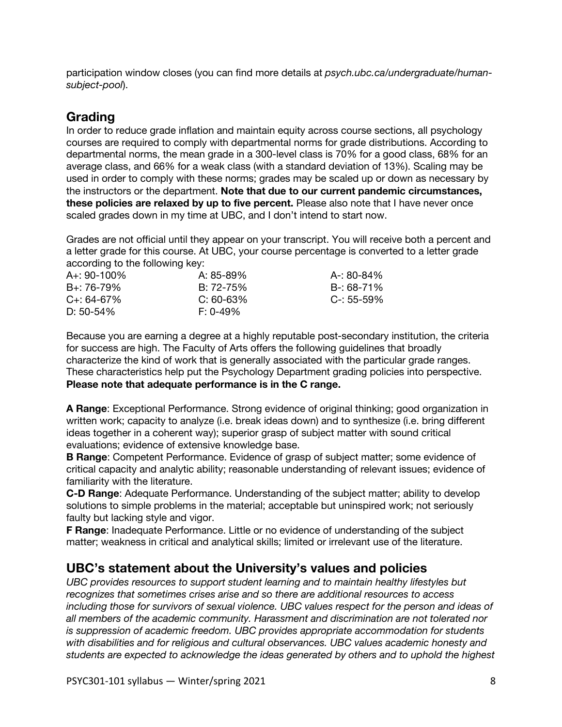participation window closes (you can find more details at *psych.ubc.ca/undergraduate/humansubject-pool*).

## **Grading**

In order to reduce grade inflation and maintain equity across course sections, all psychology courses are required to comply with departmental norms for grade distributions. According to departmental norms, the mean grade in a 300-level class is 70% for a good class, 68% for an average class, and 66% for a weak class (with a standard deviation of 13%). Scaling may be used in order to comply with these norms; grades may be scaled up or down as necessary by the instructors or the department. **Note that due to our current pandemic circumstances, these policies are relaxed by up to five percent.** Please also note that I have never once scaled grades down in my time at UBC, and I don't intend to start now.

Grades are not official until they appear on your transcript. You will receive both a percent and a letter grade for this course. At UBC, your course percentage is converted to a letter grade according to the following key:

| $A_{+}$ : 90-100% | A: 85-89%      | A-: 80-84%      |
|-------------------|----------------|-----------------|
| B+: 76-79%        | $B: 72 - 75\%$ | B-: 68-71%      |
|                   |                |                 |
| $C_{+}$ : 64-67%  | $C: 60-63%$    | $C - 55 - 59\%$ |
| D: $50-54\%$      | $F: 0-49%$     |                 |
|                   |                |                 |

Because you are earning a degree at a highly reputable post-secondary institution, the criteria for success are high. The Faculty of Arts offers the following guidelines that broadly characterize the kind of work that is generally associated with the particular grade ranges. These characteristics help put the Psychology Department grading policies into perspective. **Please note that adequate performance is in the C range.**

**A Range**: Exceptional Performance. Strong evidence of original thinking; good organization in written work; capacity to analyze (i.e. break ideas down) and to synthesize (i.e. bring different ideas together in a coherent way); superior grasp of subject matter with sound critical evaluations; evidence of extensive knowledge base.

**B Range**: Competent Performance. Evidence of grasp of subject matter; some evidence of critical capacity and analytic ability; reasonable understanding of relevant issues; evidence of familiarity with the literature.

**C-D Range**: Adequate Performance. Understanding of the subject matter; ability to develop solutions to simple problems in the material; acceptable but uninspired work; not seriously faulty but lacking style and vigor.

**F Range**: Inadequate Performance. Little or no evidence of understanding of the subject matter; weakness in critical and analytical skills; limited or irrelevant use of the literature.

## **UBC's statement about the University's values and policies**

*UBC provides resources to support student learning and to maintain healthy lifestyles but recognizes that sometimes crises arise and so there are additional resources to access including those for survivors of sexual violence. UBC values respect for the person and ideas of all members of the academic community. Harassment and discrimination are not tolerated nor is suppression of academic freedom. UBC provides appropriate accommodation for students with disabilities and for religious and cultural observances. UBC values academic honesty and students are expected to acknowledge the ideas generated by others and to uphold the highest*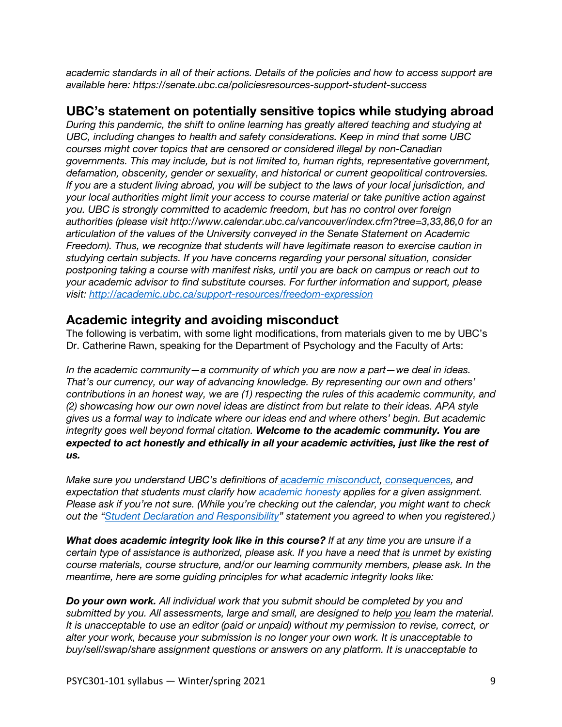*academic standards in all of their actions. Details of the policies and how to access support are available here: https://senate.ubc.ca/policiesresources-support-student-success*

## **UBC's statement on potentially sensitive topics while studying abroad**

*During this pandemic, the shift to online learning has greatly altered teaching and studying at UBC, including changes to health and safety considerations. Keep in mind that some UBC courses might cover topics that are censored or considered illegal by non-Canadian governments. This may include, but is not limited to, human rights, representative government, defamation, obscenity, gender or sexuality, and historical or current geopolitical controversies. If you are a student living abroad, you will be subject to the laws of your local jurisdiction, and your local authorities might limit your access to course material or take punitive action against you. UBC is strongly committed to academic freedom, but has no control over foreign authorities (please visit http://www.calendar.ubc.ca/vancouver/index.cfm?tree=3,33,86,0 for an articulation of the values of the University conveyed in the Senate Statement on Academic Freedom). Thus, we recognize that students will have legitimate reason to exercise caution in studying certain subjects. If you have concerns regarding your personal situation, consider postponing taking a course with manifest risks, until you are back on campus or reach out to your academic advisor to find substitute courses. For further information and support, please visit: http://academic.ubc.ca/support-resources/freedom-expression*

## **Academic integrity and avoiding misconduct**

The following is verbatim, with some light modifications, from materials given to me by UBC's Dr. Catherine Rawn, speaking for the Department of Psychology and the Faculty of Arts:

*In the academic community—a community of which you are now a part—we deal in ideas. That's our currency, our way of advancing knowledge. By representing our own and others' contributions in an honest way, we are (1) respecting the rules of this academic community, and (2) showcasing how our own novel ideas are distinct from but relate to their ideas. APA style gives us a formal way to indicate where our ideas end and where others' begin. But academic integrity goes well beyond formal citation. Welcome to the academic community. You are expected to act honestly and ethically in all your academic activities, just like the rest of us.*

*Make sure you understand UBC's definitions of academic misconduct, consequences, and expectation that students must clarify how academic honesty applies for a given assignment. Please ask if you're not sure. (While you're checking out the calendar, you might want to check out the "Student Declaration and Responsibility" statement you agreed to when you registered.)*

*What does academic integrity look like in this course? If at any time you are unsure if a certain type of assistance is authorized, please ask. If you have a need that is unmet by existing course materials, course structure, and/or our learning community members, please ask. In the meantime, here are some guiding principles for what academic integrity looks like:*

*Do your own work. All individual work that you submit should be completed by you and submitted by you. All assessments, large and small, are designed to help you learn the material. It is unacceptable to use an editor (paid or unpaid) without my permission to revise, correct, or alter your work, because your submission is no longer your own work. It is unacceptable to buy/sell/swap/share assignment questions or answers on any platform. It is unacceptable to*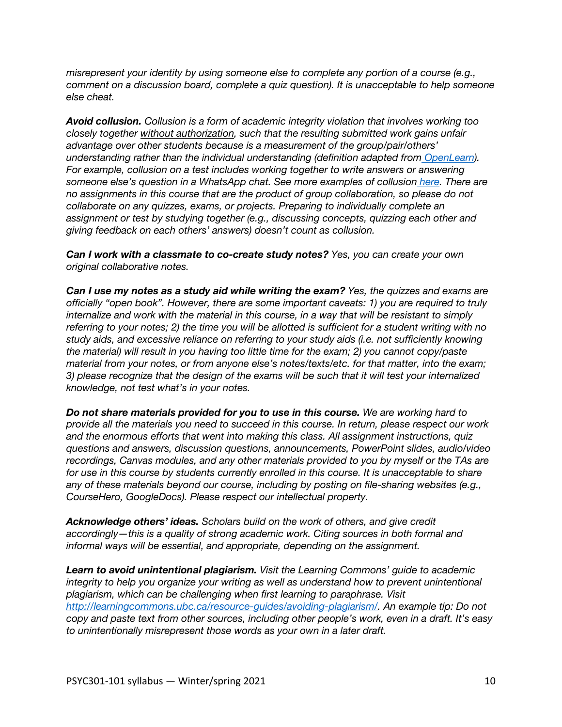*misrepresent your identity by using someone else to complete any portion of a course (e.g., comment on a discussion board, complete a quiz question). It is unacceptable to help someone else cheat.*

*Avoid collusion. Collusion is a form of academic integrity violation that involves working too closely together without authorization, such that the resulting submitted work gains unfair advantage over other students because is a measurement of the group/pair/others' understanding rather than the individual understanding (definition adapted from OpenLearn). For example, collusion on a test includes working together to write answers or answering someone else's question in a WhatsApp chat. See more examples of collusion here. There are no assignments in this course that are the product of group collaboration, so please do not collaborate on any quizzes, exams, or projects. Preparing to individually complete an assignment or test by studying together (e.g., discussing concepts, quizzing each other and giving feedback on each others' answers) doesn't count as collusion.*

*Can I work with a classmate to co-create study notes? Yes, you can create your own original collaborative notes.*

*Can I use my notes as a study aid while writing the exam? Yes, the quizzes and exams are officially "open book". However, there are some important caveats: 1) you are required to truly internalize and work with the material in this course, in a way that will be resistant to simply referring to your notes; 2) the time you will be allotted is sufficient for a student writing with no study aids, and excessive reliance on referring to your study aids (i.e. not sufficiently knowing the material) will result in you having too little time for the exam; 2) you cannot copy/paste material from your notes, or from anyone else's notes/texts/etc. for that matter, into the exam; 3) please recognize that the design of the exams will be such that it will test your internalized knowledge, not test what's in your notes.*

*Do not share materials provided for you to use in this course. We are working hard to provide all the materials you need to succeed in this course. In return, please respect our work and the enormous efforts that went into making this class. All assignment instructions, quiz questions and answers, discussion questions, announcements, PowerPoint slides, audio/video recordings, Canvas modules, and any other materials provided to you by myself or the TAs are for use in this course by students currently enrolled in this course. It is unacceptable to share any of these materials beyond our course, including by posting on file-sharing websites (e.g., CourseHero, GoogleDocs). Please respect our intellectual property.*

*Acknowledge others' ideas. Scholars build on the work of others, and give credit accordingly—this is a quality of strong academic work. Citing sources in both formal and informal ways will be essential, and appropriate, depending on the assignment.*

*Learn to avoid unintentional plagiarism. Visit the Learning Commons' guide to academic integrity to help you organize your writing as well as understand how to prevent unintentional plagiarism, which can be challenging when first learning to paraphrase. Visit http://learningcommons.ubc.ca/resource-guides/avoiding-plagiarism/. An example tip: Do not copy and paste text from other sources, including other people's work, even in a draft. It's easy to unintentionally misrepresent those words as your own in a later draft.*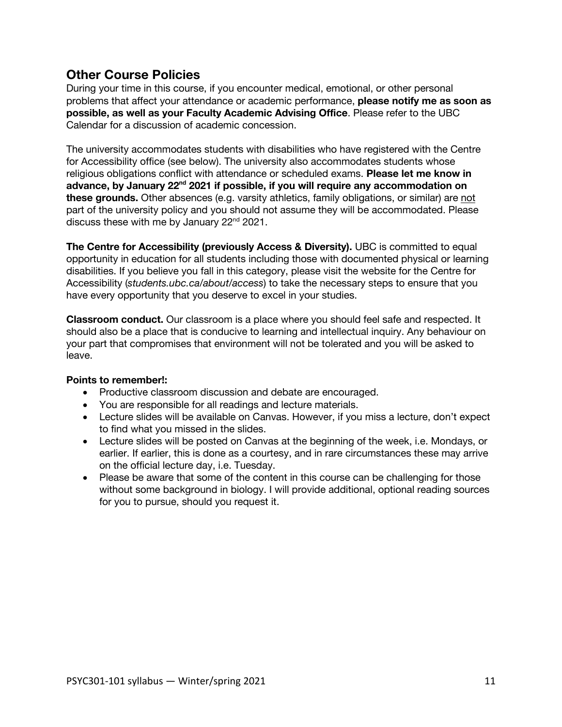## **Other Course Policies**

During your time in this course, if you encounter medical, emotional, or other personal problems that affect your attendance or academic performance, **please notify me as soon as possible, as well as your Faculty Academic Advising Office**. Please refer to the UBC Calendar for a discussion of academic concession.

The university accommodates students with disabilities who have registered with the Centre for Accessibility office (see below). The university also accommodates students whose religious obligations conflict with attendance or scheduled exams. **Please let me know in advance, by January 22nd 2021 if possible, if you will require any accommodation on these grounds.** Other absences (e.g. varsity athletics, family obligations, or similar) are not part of the university policy and you should not assume they will be accommodated. Please discuss these with me by January 22<sup>nd</sup> 2021.

**The Centre for Accessibility (previously Access & Diversity).** UBC is committed to equal opportunity in education for all students including those with documented physical or learning disabilities. If you believe you fall in this category, please visit the website for the Centre for Accessibility (*students.ubc.ca/about/access*) to take the necessary steps to ensure that you have every opportunity that you deserve to excel in your studies.

**Classroom conduct.** Our classroom is a place where you should feel safe and respected. It should also be a place that is conducive to learning and intellectual inquiry. Any behaviour on your part that compromises that environment will not be tolerated and you will be asked to leave.

## **Points to remember!:**

- Productive classroom discussion and debate are encouraged.
- You are responsible for all readings and lecture materials.
- Lecture slides will be available on Canvas. However, if you miss a lecture, don't expect to find what you missed in the slides.
- Lecture slides will be posted on Canvas at the beginning of the week, i.e. Mondays, or earlier. If earlier, this is done as a courtesy, and in rare circumstances these may arrive on the official lecture day, i.e. Tuesday.
- Please be aware that some of the content in this course can be challenging for those without some background in biology. I will provide additional, optional reading sources for you to pursue, should you request it.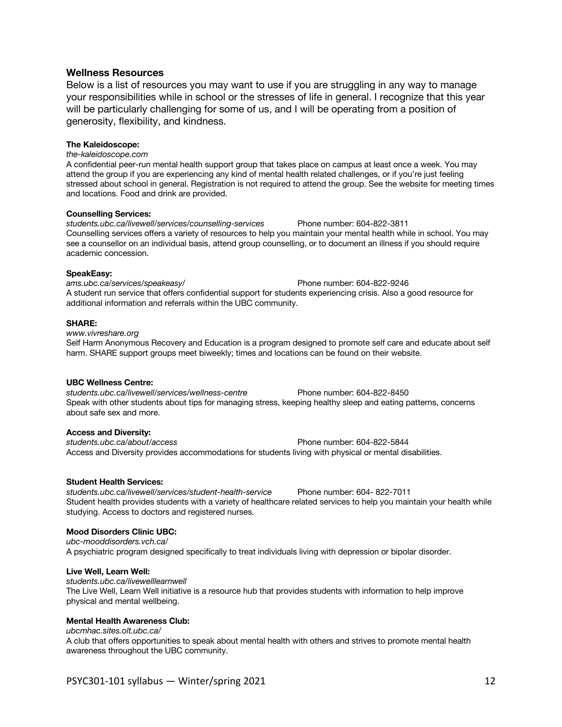### **Wellness Resources**

Below is a list of resources you may want to use if you are struggling in any way to manage your responsibilities while in school or the stresses of life in general. I recognize that this year will be particularly challenging for some of us, and I will be operating from a position of generosity, flexibility, and kindness.

### **The Kaleidoscope:**

*the-kaleidoscope.com* 

A confidential peer-run mental health support group that takes place on campus at least once a week. You may attend the group if you are experiencing any kind of mental health related challenges, or if you're just feeling stressed about school in general. Registration is not required to attend the group. See the website for meeting times and locations. Food and drink are provided.

#### **Counselling Services:**

*students.ubc.ca/livewell/services/counselling-services* Phone number: 604-822-3811 Counselling services offers a variety of resources to help you maintain your mental health while in school. You may see a counsellor on an individual basis, attend group counselling, or to document an illness if you should require academic concession.

#### **SpeakEasy:**

*ams.ubc.ca/services/speakeasy/* Phone number: 604-822-9246 A student run service that offers confidential support for students experiencing crisis. Also a good resource for additional information and referrals within the UBC community.

#### **SHARE:**

*www.vivreshare.org*  Self Harm Anonymous Recovery and Education is a program designed to promote self care and educate about self harm. SHARE support groups meet biweekly; times and locations can be found on their website.

#### **UBC Wellness Centre:**

*students.ubc.ca/livewell/services/wellness-centre* Phone number: 604-822-8450 Speak with other students about tips for managing stress, keeping healthy sleep and eating patterns, concerns about safe sex and more.

### **Access and Diversity:**

*students.ubc.ca/about/access* Phone number: 604-822-5844 Access and Diversity provides accommodations for students living with physical or mental disabilities.

### **Student Health Services:**

*students.ubc.ca/livewell/services/student-health-service* Phone number: 604- 822-7011 Student health provides students with a variety of healthcare related services to help you maintain your health while studying. Access to doctors and registered nurses.

### **Mood Disorders Clinic UBC:**

*ubc-mooddisorders.vch.ca/*  A psychiatric program designed specifically to treat individuals living with depression or bipolar disorder.

### **Live Well, Learn Well:**

*students.ubc.ca/livewelllearnwell*  The Live Well, Learn Well initiative is a resource hub that provides students with information to help improve physical and mental wellbeing.

### **Mental Health Awareness Club:**

*ubcmhac.sites.olt.ubc.ca/* 

A club that offers opportunities to speak about mental health with others and strives to promote mental health awareness throughout the UBC community.